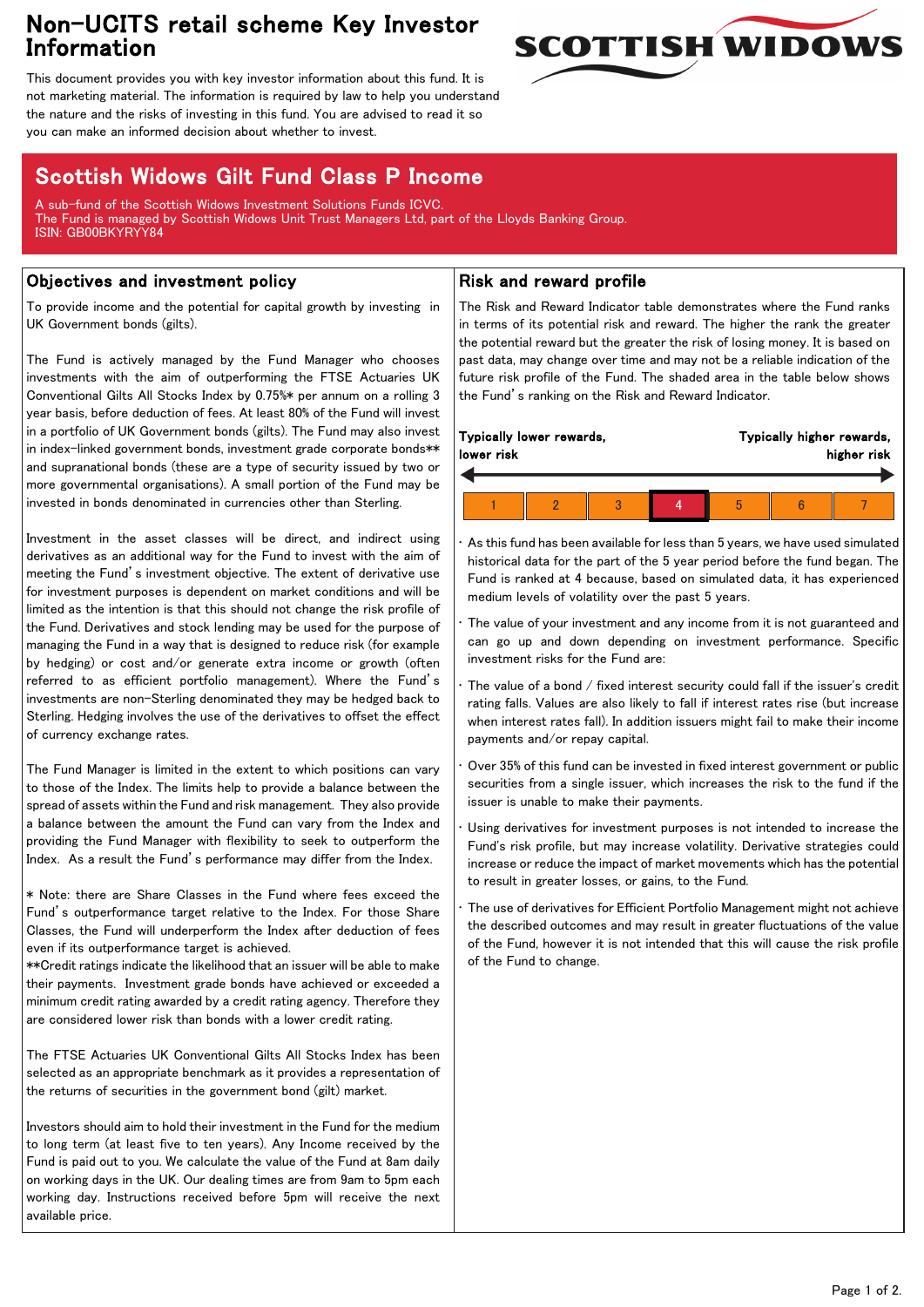# Non-UCITS retail scheme Key Investor Information



This document provides you with key investor information about this fund. It is not marketing material. The information is required by law to help you understand the nature and the risks of investing in this fund. You are advised to read it so you can make an informed decision about whether to invest.

## Scottish Widows Gilt Fund Class P Income

A sub-fund of the Scottish Widows Investment Solutions Funds ICVC. The Fund is managed by Scottish Widows Unit Trust Managers Ltd, part of the Lloyds Banking Group. ISIN: GB00BKYRYY84

## Objectives and investment policy

To provide income and the potential for capital growth by investing in UK Government bonds (gilts).

The Fund is actively managed by the Fund Manager who chooses investments with the aim of outperforming the FTSE Actuaries UK Conventional Gilts All Stocks Index by 0.75%\* per annum on a rolling 3 year basis, before deduction of fees. At least 80% of the Fund will invest in a portfolio of UK Government bonds (gilts). The Fund may also invest in index-linked government bonds, investment grade corporate bonds\*\* and supranational bonds (these are a type of security issued by two or more governmental organisations). A small portion of the Fund may be invested in bonds denominated in currencies other than Sterling.

Investment in the asset classes will be direct, and indirect using derivatives as an additional way for the Fund to invest with the aim of meeting the Fund's investment objective. The extent of derivative use for investment purposes is dependent on market conditions and will be limited as the intention is that this should not change the risk profile of the Fund. Derivatives and stock lending may be used for the purpose of managing the Fund in a way that is designed to reduce risk (for example by hedging) or cost and/or generate extra income or growth (often referred to as efficient portfolio management). Where the Fund's investments are non-Sterling denominated they may be hedged back to Sterling. Hedging involves the use of the derivatives to offset the effect of currency exchange rates.

The Fund Manager is limited in the extent to which positions can vary to those of the Index. The limits help to provide a balance between the spread of assets within the Fund and risk management. They also provide a balance between the amount the Fund can vary from the Index and providing the Fund Manager with flexibility to seek to outperform the Index. As a result the Fund's performance may differ from the Index.

\* Note: there are Share Classes in the Fund where fees exceed the Fund's outperformance target relative to the Index. For those Share Classes, the Fund will underperform the Index after deduction of fees even if its outperformance target is achieved.

\*\*Credit ratings indicate the likelihood that an issuer will be able to make their payments. Investment grade bonds have achieved or exceeded a minimum credit rating awarded by a credit rating agency. Therefore they are considered lower risk than bonds with a lower credit rating.

The FTSE Actuaries UK Conventional Gilts All Stocks Index has been selected as an appropriate benchmark as it provides a representation of the returns of securities in the government bond (gilt) market.

Investors should aim to hold their investment in the Fund for the medium to long term (at least five to ten years). Any Income received by the Fund is paid out to you. We calculate the value of the Fund at 8am daily on working days in the UK. Our dealing times are from 9am to 5pm each working day. Instructions received before 5pm will receive the next available price.

### Risk and reward profile

The Risk and Reward Indicator table demonstrates where the Fund ranks in terms of its potential risk and reward. The higher the rank the greater the potential reward but the greater the risk of losing money. It is based on past data, may change over time and may not be a reliable indication of the future risk profile of the Fund. The shaded area in the table below shows the Fund's ranking on the Risk and Reward Indicator.

| Typically lower rewards,<br>lower risk |  |  |  | Typically higher rewards,<br>higher risk |  |  |
|----------------------------------------|--|--|--|------------------------------------------|--|--|
|                                        |  |  |  |                                          |  |  |
|                                        |  |  |  |                                          |  |  |

• As this fund has been available for less than 5 years, we have used simulated historical data for the part of the 5 year period before the fund began. The Fund is ranked at 4 because, based on simulated data, it has experienced medium levels of volatility over the past 5 years.

The value of your investment and any income from it is not guaranteed and can go up and down depending on investment performance. Specific investment risks for the Fund are:

The value of a bond / fixed interest security could fall if the issuer's credit rating falls. Values are also likely to fall if interest rates rise (but increase when interest rates fall). In addition issuers might fail to make their income payments and/or repay capital.

• Over 35% of this fund can be invested in fixed interest government or public securities from a single issuer, which increases the risk to the fund if the issuer is unable to make their payments.

Using derivatives for investment purposes is not intended to increase the Fund's risk profile, but may increase volatility. Derivative strategies could increase or reduce the impact of market movements which has the potential to result in greater losses, or gains, to the Fund.

• The use of derivatives for Efficient Portfolio Management might not achieve the described outcomes and may result in greater fluctuations of the value of the Fund, however it is not intended that this will cause the risk profile of the Fund to change.